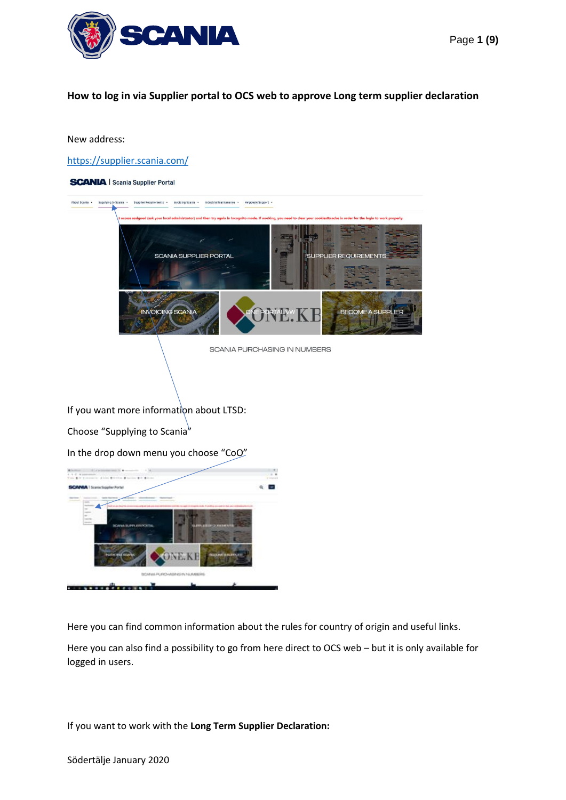

## **How to log in via Supplier portal to OCS web to approve Long term supplier declaration**

## New address:

<https://supplier.scania.com/>



Here you can find common information about the rules for country of origin and useful links.

Here you can also find a possibility to go from here direct to OCS web – but it is only available for logged in users.

If you want to work with the **Long Term Supplier Declaration:**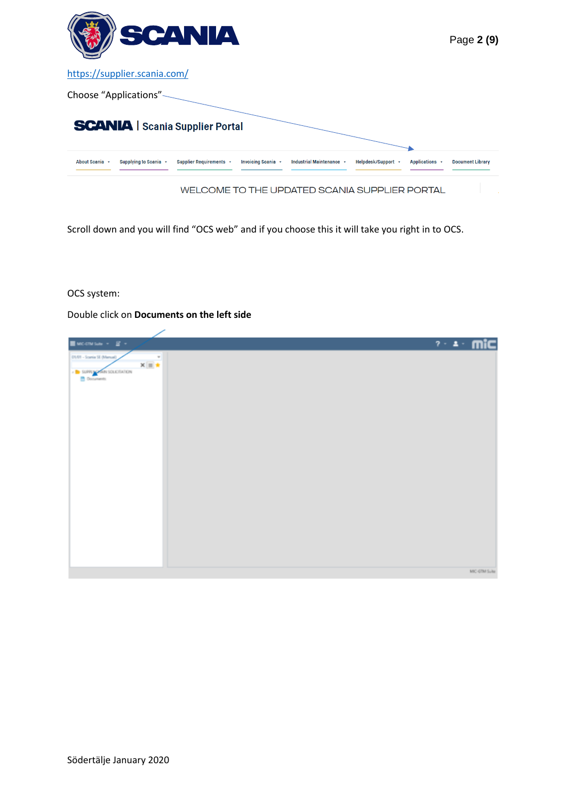

Scroll down and you will find "OCS web" and if you choose this it will take you right in to OCS.

OCS system:

Double click on **Documents on the left side**

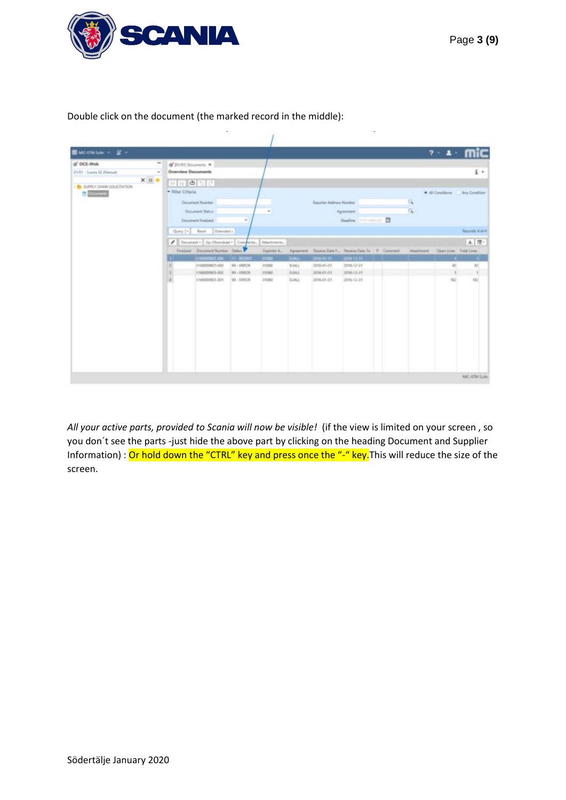

Double click on the document (the marked record in the middle):

| ■MCCTMbaw → 星 →                                      |                                                                                               |                                                                            |                 |                             |             |                          |                                                           |  |    | $2 - 4 -$                           |                                |
|------------------------------------------------------|-----------------------------------------------------------------------------------------------|----------------------------------------------------------------------------|-----------------|-----------------------------|-------------|--------------------------|-----------------------------------------------------------|--|----|-------------------------------------|--------------------------------|
| (a) OCS-Web                                          | $\frac{1}{2} \left( \frac{1}{2} \right) \left( \frac{1}{2} \right)$<br>of (01/01) Dicioners K |                                                                            |                 |                             |             |                          |                                                           |  |    |                                     |                                |
| CUS1 - Scansa SE (Manual)                            | <b>Overview Documents</b><br>$\sim$                                                           |                                                                            |                 |                             |             |                          |                                                           |  |    |                                     | $\mathbf{I}$                   |
| $X \equiv \pm$                                       |                                                                                               | 日日申日日                                                                      |                 |                             |             |                          |                                                           |  |    |                                     |                                |
| <b>B</b> SUPRY CHAIN SOLICITATION<br><b>B</b> Street | - Filter Criteria                                                                             |                                                                            |                 |                             |             |                          |                                                           |  |    |                                     | All Contitions . Any Condition |
|                                                      |                                                                                               | <b>Decement Number</b>                                                     |                 |                             |             | Executor Automou Normber |                                                           |  | R. |                                     |                                |
|                                                      |                                                                                               | Danyverd Statut                                                            |                 |                             |             |                          | Археонис                                                  |  | Q  |                                     |                                |
|                                                      |                                                                                               | <b>Encyment Instituti</b>                                                  | $\omega$        |                             |             |                          | Sheeting ( Print America) 27                              |  |    |                                     |                                |
|                                                      |                                                                                               | Extended +<br>Guny  v   Reset                                              |                 |                             |             |                          |                                                           |  |    |                                     | Recentle & of A                |
|                                                      |                                                                                               |                                                                            |                 |                             |             |                          |                                                           |  |    |                                     |                                |
|                                                      |                                                                                               | / Decument +   1b-/Onteriout +   Company                                   |                 | Attachments.                |             |                          |                                                           |  |    |                                     | 上置。                            |
|                                                      |                                                                                               | Finalized Discument Number Dates<br><b>SETORIARTERS AND - THE - RESOUR</b> |                 | Toppman A.<br><b>STORES</b> | TIME.       | 2010/01/01 2016 12:31    | Agreement Receive Date F., Receive Date To .: F. Commerci |  |    | Attachment  Questions  Fistal Lines | - 11                           |
|                                                      |                                                                                               | 9100003923-008                                                             | 89-18ROE        | 03240                       | <b>FUEL</b> | 3916-01-01               | 2016-12-21                                                |  |    | $\mathbb{R}$                        | 80                             |
|                                                      |                                                                                               | 13M0000625-002                                                             | $198 - 1709236$ | <b>CTIRER</b>               | EUALL       | 2016-01-21               | 2018-12-21                                                |  |    | ¥                                   |                                |
|                                                      |                                                                                               | 2160002625-201                                                             | 99-189CH        | DIDEE                       | <b>EUNA</b> | 2016-01-01               | 2016-12-31                                                |  |    | 152                                 | 182                            |
|                                                      |                                                                                               |                                                                            |                 |                             |             |                          |                                                           |  |    |                                     |                                |
|                                                      |                                                                                               |                                                                            |                 |                             |             |                          |                                                           |  |    |                                     |                                |
|                                                      |                                                                                               |                                                                            |                 |                             |             |                          |                                                           |  |    |                                     |                                |
|                                                      |                                                                                               |                                                                            |                 |                             |             |                          |                                                           |  |    |                                     |                                |
|                                                      |                                                                                               |                                                                            |                 |                             |             |                          |                                                           |  |    |                                     |                                |
|                                                      |                                                                                               |                                                                            |                 |                             |             |                          |                                                           |  |    |                                     |                                |
|                                                      |                                                                                               |                                                                            |                 |                             |             |                          |                                                           |  |    |                                     |                                |
|                                                      |                                                                                               |                                                                            |                 |                             |             |                          |                                                           |  |    |                                     |                                |
|                                                      |                                                                                               |                                                                            |                 |                             |             |                          |                                                           |  |    |                                     |                                |
|                                                      |                                                                                               |                                                                            |                 |                             |             |                          |                                                           |  |    |                                     |                                |
|                                                      |                                                                                               |                                                                            |                 |                             |             |                          |                                                           |  |    |                                     | MK GTM Tuke                    |

*All your active parts, provided to Scania will now be visible!* (if the view is limited on your screen , so you don´t see the parts -just hide the above part by clicking on the heading Document and Supplier Information) : Or hold down the "CTRL" key and press once the "-" key. This will reduce the size of the screen.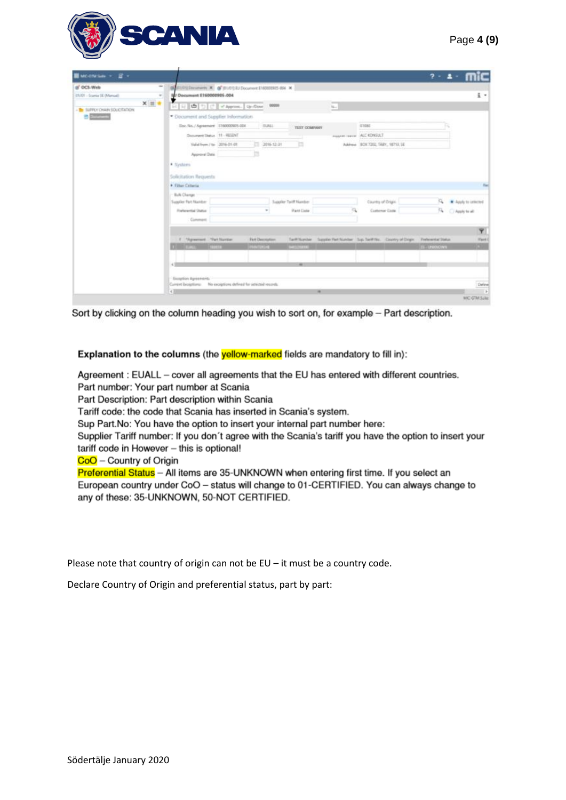

| <b>Bucowia</b> - B -                                                                                                              |                                                                                                                                                                                                                                      |                                   |                        |                          |                                                                                     |                                   | $7 - 2 -$        |                         |
|-----------------------------------------------------------------------------------------------------------------------------------|--------------------------------------------------------------------------------------------------------------------------------------------------------------------------------------------------------------------------------------|-----------------------------------|------------------------|--------------------------|-------------------------------------------------------------------------------------|-----------------------------------|------------------|-------------------------|
| $\overline{\phantom{a}}$<br>(b) OCS-Web                                                                                           | GESTION Decement * G SILON EL Document E160020815-004 *                                                                                                                                                                              |                                   |                        |                          |                                                                                     |                                   |                  |                         |
| (21.101 - Science SE (Marnivel)<br>$\frac{1}{2} \left( \frac{1}{2} \right) \left( \frac{1}{2} \right) \left( \frac{1}{2} \right)$ | <b>EU Document E160000905-004</b>                                                                                                                                                                                                    |                                   |                        |                          |                                                                                     |                                   |                  | $\frac{1}{2}$           |
| $x = +$<br><b>TO SUPPLY CHAIN SOLICITATION</b>                                                                                    | 日日日 5 日 2 Reprod. 00:000 0000                                                                                                                                                                                                        |                                   |                        |                          | to.                                                                                 |                                   |                  |                         |
| <b>B</b> Elizabeth                                                                                                                | * Document and Supplier Information                                                                                                                                                                                                  |                                   |                        |                          |                                                                                     |                                   |                  |                         |
|                                                                                                                                   | Doc.No./Agreement -1100000925-004                                                                                                                                                                                                    |                                   | <b>DUALL</b>           | TERT COMPANY             |                                                                                     | IT1030                            |                  |                         |
|                                                                                                                                   |                                                                                                                                                                                                                                      | <b>Osnament Datus 11 - RESENT</b> |                        |                          |                                                                                     | ALLINEAR HOUSE ALL KORELLY        |                  |                         |
|                                                                                                                                   |                                                                                                                                                                                                                                      | Valid from / to 2016-01-01        | 二 2016-12-31           | ь                        |                                                                                     | Address BOX 7202, TABY, 18713, SE |                  |                         |
|                                                                                                                                   | Approval Date                                                                                                                                                                                                                        |                                   |                        |                          |                                                                                     |                                   |                  |                         |
|                                                                                                                                   | * System                                                                                                                                                                                                                             |                                   |                        |                          |                                                                                     |                                   |                  |                         |
|                                                                                                                                   |                                                                                                                                                                                                                                      |                                   |                        |                          |                                                                                     |                                   |                  |                         |
|                                                                                                                                   | Solicitation Requests<br>. Filter Criteria                                                                                                                                                                                           |                                   |                        |                          |                                                                                     |                                   |                  | <b>Hart</b>             |
|                                                                                                                                   |                                                                                                                                                                                                                                      |                                   |                        |                          |                                                                                     |                                   |                  |                         |
|                                                                                                                                   | Bulk Charge<br>Supplier Part Number                                                                                                                                                                                                  |                                   |                        | Juggler Tailf Number     |                                                                                     | Country of Drigos                 |                  | S * Audy to interior    |
|                                                                                                                                   | <b>Fisherential Status</b>                                                                                                                                                                                                           |                                   | $\scriptstyle\rm{m}$   | <b><i>Para Civia</i></b> |                                                                                     | Customer Code                     |                  | A C Apply to all        |
|                                                                                                                                   | Constratt.                                                                                                                                                                                                                           |                                   |                        |                          |                                                                                     |                                   |                  |                         |
|                                                                                                                                   |                                                                                                                                                                                                                                      |                                   |                        |                          |                                                                                     |                                   |                  | $\overline{\mathbf{Y}}$ |
|                                                                                                                                   | I .- Shipwersell .- Yarl Number                                                                                                                                                                                                      |                                   | <b>Fart Decoration</b> |                          | Tarif Number Supplie Ret Number Sup Terrifik. Country of Drips: Preferential Status |                                   |                  | <b>River 6</b>          |
|                                                                                                                                   | <b>If there is a state of the contract of the contract of the contract of the contract of the contract of the contract of the contract of the contract of the contract of the contract of the contract of the contract of the co</b> |                                   | <b>PRINTER LIST</b>    | <b>BACCLISHERS</b>       |                                                                                     |                                   | <b>B-UNKNOWN</b> |                         |
|                                                                                                                                   |                                                                                                                                                                                                                                      |                                   |                        |                          |                                                                                     |                                   |                  |                         |
|                                                                                                                                   | 4.10                                                                                                                                                                                                                                 |                                   |                        | $\overline{\phantom{a}}$ |                                                                                     |                                   |                  |                         |
|                                                                                                                                   |                                                                                                                                                                                                                                      |                                   |                        |                          |                                                                                     |                                   |                  |                         |
|                                                                                                                                   | Exception Agreements<br>Carent Bosphiro: No exceptions defined for selected resords.                                                                                                                                                 |                                   |                        |                          |                                                                                     |                                   |                  | Define                  |
|                                                                                                                                   | $\epsilon$                                                                                                                                                                                                                           |                                   |                        |                          |                                                                                     |                                   |                  | - 2                     |

Sort by clicking on the column heading you wish to sort on, for example - Part description.

Explanation to the columns (the yellow-marked fields are mandatory to fill in):

Agreement : EUALL - cover all agreements that the EU has entered with different countries. Part number: Your part number at Scania Part Description: Part description within Scania Tariff code: the code that Scania has inserted in Scania's system. Sup Part. No: You have the option to insert your internal part number here: Supplier Tariff number: If you don't agree with the Scania's tariff you have the option to insert your tariff code in However - this is optional!  $CoO$  – Country of Origin Preferential Status - All items are 35-UNKNOWN when entering first time. If you select an European country under CoO - status will change to 01-CERTIFIED. You can always change to any of these: 35-UNKNOWN, 50-NOT CERTIFIED.

Please note that country of origin can not be EU – it must be a country code.

Declare Country of Origin and preferential status, part by part: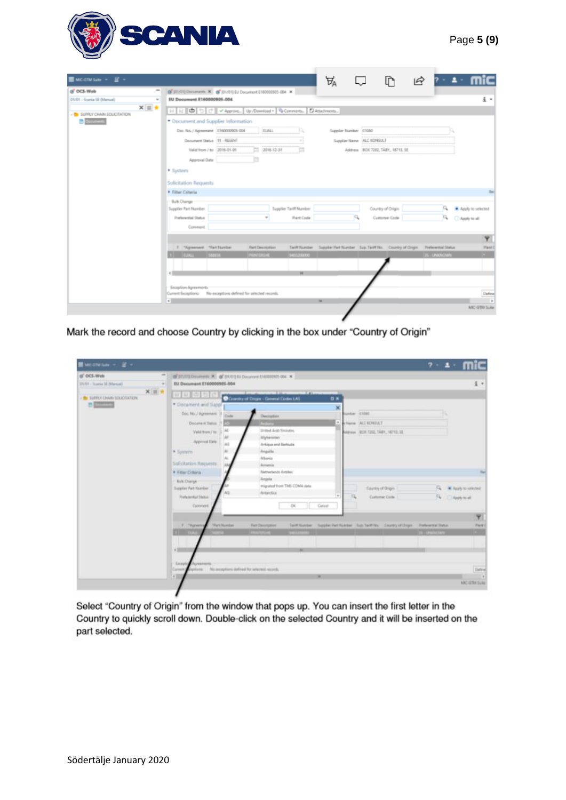

| $\equiv$ мостиван $\sim$ $\equiv$ $\sim$               |                                                                                         |                         |                        | А                                                                                        |                                   | IR.                 | $2 - 2 -$                    |
|--------------------------------------------------------|-----------------------------------------------------------------------------------------|-------------------------|------------------------|------------------------------------------------------------------------------------------|-----------------------------------|---------------------|------------------------------|
| of OCS-Web                                             | G J01/01] Documents X G J01/01] EU Document E160000905-004 X                            |                         |                        |                                                                                          |                                   |                     |                              |
| 01/01 - Scarria SE (Marrual)<br>$\omega$               | EU Document E160000905-004                                                              |                         |                        |                                                                                          |                                   |                     | $\frac{1}{2}$ .              |
| $x \equiv \star$<br><b>B</b> SUPPLY CHAIN SOLICITATION | 日日日             v Approve   Up /Download +   Q Comments   【2 Attachments                |                         |                        |                                                                                          |                                   |                     |                              |
| <b>B</b> Recovered                                     | * Document and Supplier Information                                                     |                         |                        |                                                                                          |                                   |                     |                              |
|                                                        | Doc. No. / Agreement   £160000905-004                                                   | <b>TUALL</b>            |                        | Supplier Number (31050)                                                                  |                                   |                     |                              |
|                                                        | Document Status 11 - RESENT                                                             |                         |                        |                                                                                          | Supplier Name ALC KONSULT         |                     |                              |
|                                                        | Valid from / to 2016-01-01                                                              | 2016-12-31              | ⋍                      |                                                                                          | Address BOX 7202, TABY, 18713, SE |                     |                              |
|                                                        | Approval Date                                                                           |                         |                        |                                                                                          |                                   |                     |                              |
|                                                        | · System                                                                                |                         |                        |                                                                                          |                                   |                     |                              |
|                                                        | Solicitation Requests                                                                   |                         |                        |                                                                                          |                                   |                     |                              |
|                                                        | • Filter Criteria                                                                       |                         |                        |                                                                                          |                                   |                     |                              |
|                                                        | Bulk Change                                                                             |                         |                        |                                                                                          |                                   |                     |                              |
|                                                        | Supplier Part Number                                                                    |                         | Supplier Tariff Number |                                                                                          | Country of Origin                 |                     | Apply to selected            |
|                                                        | <b>Preferential Status</b>                                                              | $\omega$                | <b>Plant Code</b>      |                                                                                          | Customer Code                     |                     | $\mathbb{Z}$<br>Apply to all |
|                                                        | Comment                                                                                 |                         |                        |                                                                                          |                                   |                     |                              |
|                                                        |                                                                                         |                         |                        |                                                                                          |                                   |                     | Ÿ                            |
|                                                        | 1 "Agreement "Part Number                                                               | <b>Part Description</b> |                        | Tariff Number Supplier Part Number Sup. Tariff No. Country of Origin Preferential Status |                                   |                     | Plant (                      |
|                                                        | 1 EUALL SERIESE                                                                         | PRINTERSHE              | \$403200000            |                                                                                          |                                   | <b>15 - UNKNOWN</b> |                              |
|                                                        |                                                                                         |                         | $\mathbf{m}$           |                                                                                          |                                   |                     |                              |
|                                                        |                                                                                         |                         |                        |                                                                                          |                                   |                     |                              |
|                                                        | Exception Agreements<br>Current Exceptions: No exceptions defined for selected records. |                         |                        |                                                                                          |                                   |                     | Define                       |
|                                                        | $\epsilon$                                                                              |                         |                        | m                                                                                        |                                   |                     | $\overline{\phantom{a}}$     |
|                                                        |                                                                                         |                         |                        |                                                                                          |                                   |                     | MIC-GTM Suite                |

Mark the record and choose Country by clicking in the box under "Country of Origin"

| $\blacksquare$ McChelsey $+$ $\blacksquare$ $+$<br>(s' OCS-Wels | $\frac{1}{2}$                                                                                                                                                                                                                                                          |                                                                               |                                                                                                  | $7 - 1$                |
|-----------------------------------------------------------------|------------------------------------------------------------------------------------------------------------------------------------------------------------------------------------------------------------------------------------------------------------------------|-------------------------------------------------------------------------------|--------------------------------------------------------------------------------------------------|------------------------|
| 23/61 - Scoria 32 Abenzel                                       | OF STATES CONSULTED IN COLUMN 2 (STATES OF A STATES OF A STATES OF A STATES OF A STATES OF A STATES OF A STATES OF A STATES OF A STATES OF A STATES OF A STATES OF A STATES OF A STATES OF A STATES OF A STATES OF A STATES OF<br>EU Document E160000925-004<br>$\sim$ |                                                                               |                                                                                                  | $\frac{1}{2}$ .        |
| $X \otimes \pi$                                                 |                                                                                                                                                                                                                                                                        |                                                                               |                                                                                                  |                        |
| - To SURFLY CHARL SOLICITATION                                  | 田田由田田                                                                                                                                                                                                                                                                  | <b>STATISTICS</b><br>--<br><b>DN</b><br>Country of Dright - General Codes LAS |                                                                                                  |                        |
| <b>B</b> Difference                                             | * Document and Suppl                                                                                                                                                                                                                                                   |                                                                               | ×                                                                                                |                        |
|                                                                 | Doc No. / Agreement 1<br>Code                                                                                                                                                                                                                                          | <b>Description</b>                                                            | Sedan 25080                                                                                      |                        |
|                                                                 | Document Tistus                                                                                                                                                                                                                                                        | <b>March</b>                                                                  | Here ALI KOVIULT                                                                                 |                        |
|                                                                 | Valid from / Ita                                                                                                                                                                                                                                                       | United Auto Swington                                                          | Address 028.7202.7ABY, 18713.1E                                                                  |                        |
|                                                                 |                                                                                                                                                                                                                                                                        | Atgheraten                                                                    |                                                                                                  |                        |
|                                                                 | Approved Elate                                                                                                                                                                                                                                                         | Antique and Earthade                                                          |                                                                                                  |                        |
|                                                                 | * System                                                                                                                                                                                                                                                               | hegalla.                                                                      |                                                                                                  |                        |
|                                                                 | Solicitation Requests                                                                                                                                                                                                                                                  | Albertis<br>Acreancia                                                         |                                                                                                  |                        |
|                                                                 | * Filter Cittena                                                                                                                                                                                                                                                       | Netherlands Artifies                                                          |                                                                                                  | Tel.                   |
|                                                                 | Bulk Charge                                                                                                                                                                                                                                                            | Angela                                                                        |                                                                                                  |                        |
|                                                                 | Supplier Part Murriller                                                                                                                                                                                                                                                | migrated from TML COMA slate.                                                 | Country of Origin                                                                                | C. W. Rock to selected |
|                                                                 | <b>Theferenhal Status</b>                                                                                                                                                                                                                                              | Astactica                                                                     | $\frac{1}{2}$<br>浜<br>Customer Code                                                              | Fe CApply to all       |
|                                                                 | Converes                                                                                                                                                                                                                                                               | $\propto$<br>Cancel                                                           |                                                                                                  |                        |
|                                                                 |                                                                                                                                                                                                                                                                        |                                                                               |                                                                                                  |                        |
|                                                                 |                                                                                                                                                                                                                                                                        |                                                                               |                                                                                                  | Ÿ                      |
|                                                                 | <b>Yert Number</b><br>F. Thiswent                                                                                                                                                                                                                                      | Fart Decreation                                                               | Tariff Number - Trapplet Part Number - Traj, Tariff No. - Country of Dripe - Preferent of Status | Part (                 |
|                                                                 | <b>All Forders</b>                                                                                                                                                                                                                                                     | <b>SHOPPING</b><br><b>CONTRACTOR</b>                                          |                                                                                                  | <b>SIGNATURE</b>       |
|                                                                 |                                                                                                                                                                                                                                                                        |                                                                               |                                                                                                  |                        |
|                                                                 | $+10$                                                                                                                                                                                                                                                                  | $\overline{a}$                                                                |                                                                                                  |                        |
|                                                                 | Licept<br><b>COLORADO PER</b>                                                                                                                                                                                                                                          |                                                                               |                                                                                                  |                        |
|                                                                 | splicites: No exceptions defined for selected records.<br>Current                                                                                                                                                                                                      |                                                                               |                                                                                                  | <b>Defend</b>          |
|                                                                 | 刘                                                                                                                                                                                                                                                                      | w                                                                             |                                                                                                  |                        |
|                                                                 |                                                                                                                                                                                                                                                                        |                                                                               |                                                                                                  | MAC-IDM SLAU           |

Select "Country of Origin" from the window that pops up. You can insert the first letter in the Country to quickly scroll down. Double-click on the selected Country and it will be inserted on the part selected.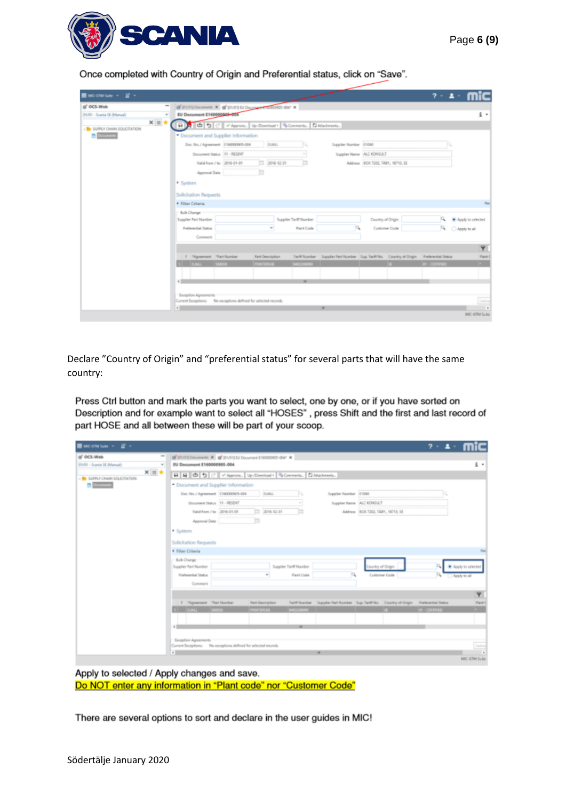

Once completed with Country of Origin and Preferential status, click on "Save".

| $\equiv$ MC-CTM Sub $\sim$ $\equiv$ $\sim$      |                                                                               |                         |                        |                                                                                          |                                   |                   | $2 - 1$               |                         |
|-------------------------------------------------|-------------------------------------------------------------------------------|-------------------------|------------------------|------------------------------------------------------------------------------------------|-----------------------------------|-------------------|-----------------------|-------------------------|
| (a <sup>*</sup> OCS-Web                         | @" (01/01) Documents N @" (01/01) EU Document 150000905-004" X                |                         |                        |                                                                                          |                                   |                   |                       |                         |
| 01/01 - Scaria SE (Marxal)<br>$\omega$          | EU Document E160000046-054                                                    |                         |                        |                                                                                          |                                   |                   |                       | i .                     |
| $x = x$<br>- <b>B</b> SUPPLY CHAIN SOLICITATION | 日 5 0 9 2 VAppon. Up:/Download + G.Commerts. D.Attachments                    |                         |                        |                                                                                          |                                   |                   |                       |                         |
| $2$ Documents                                   | * Document and Supplier Information                                           |                         |                        |                                                                                          |                                   |                   |                       |                         |
|                                                 | Doc. No. / Agreement E160000925-004                                           | <b>TUML</b>             |                        | Supplier Number (01080)                                                                  |                                   |                   |                       |                         |
|                                                 | Document Status 11 - RESENT                                                   |                         |                        |                                                                                          | Supplier Name ALC KONSULT         |                   |                       |                         |
|                                                 | Valid from / to 2016-01-01                                                    | $777 - 2016 - 12 - 31$  |                        |                                                                                          | Address BOX 7202, TABY, 18713, SE |                   |                       |                         |
|                                                 | Approval Date                                                                 |                         |                        |                                                                                          |                                   |                   |                       |                         |
|                                                 | · System                                                                      |                         |                        |                                                                                          |                                   |                   |                       |                         |
|                                                 | Solicitation Requests                                                         |                         |                        |                                                                                          |                                   |                   |                       |                         |
|                                                 | Filter Criteria                                                               |                         |                        |                                                                                          |                                   |                   |                       | <b>Red</b>              |
|                                                 | <b>Bulk Change</b>                                                            |                         |                        |                                                                                          |                                   |                   |                       |                         |
|                                                 | Supplier Part Number                                                          |                         | Supplier Tariff Number |                                                                                          | Country of Origin                 |                   | a.                    | Apply to selected       |
|                                                 | <b>Preferential Status</b>                                                    |                         | Plant Code             |                                                                                          | Customer Code                     |                   |                       | R C Apply to all        |
|                                                 | Comment                                                                       |                         |                        |                                                                                          |                                   |                   |                       |                         |
|                                                 |                                                                               |                         |                        |                                                                                          |                                   |                   |                       | $\overline{\mathbf{Y}}$ |
|                                                 | 1 "Agreement "Part Number                                                     | <b>Part Description</b> |                        | Tariff Number Supplier Part Number Sup, Tariff No. Country of Origin Preferential Status |                                   |                   |                       | Plant C                 |
|                                                 | 1 EURL SHESE                                                                  | PRINTERSHE              | \$40320000             |                                                                                          |                                   | <b>COLLECTION</b> | <b>O1 - CERTIFIED</b> |                         |
|                                                 |                                                                               |                         |                        |                                                                                          |                                   |                   |                       |                         |
|                                                 | «Ш                                                                            |                         | $\overline{a}$         |                                                                                          |                                   |                   |                       |                         |
|                                                 | Exception Agreements                                                          |                         |                        |                                                                                          |                                   |                   |                       |                         |
|                                                 | Current Exceptions: No exceptions defined for selected records.<br>$\epsilon$ |                         |                        | ×                                                                                        |                                   |                   |                       | Define                  |
|                                                 |                                                                               |                         |                        |                                                                                          |                                   |                   |                       | MIC-GTM Suite           |

Declare "Country of Origin" and "preferential status" for several parts that will have the same country:

Press Ctrl button and mark the parts you want to select, one by one, or if you have sorted on Description and for example want to select all "HOSES", press Shift and the first and last record of part HOSE and all between these will be part of your scoop.

| $MCMSab = \mathbb{E}$ +                                                                                                                                  |                                       |                                                                 |                        |                         |                                                                                          | $7 - 1.$              |                                    |
|----------------------------------------------------------------------------------------------------------------------------------------------------------|---------------------------------------|-----------------------------------------------------------------|------------------------|-------------------------|------------------------------------------------------------------------------------------|-----------------------|------------------------------------|
| $\frac{1}{2} \left( \frac{1}{2} \right) \left( \frac{1}{2} \right) \left( \frac{1}{2} \right)$<br>of OCS-Web<br>01/01 - Scarsia SE (Marxual)<br>$\omega$ | EU Document E160000905-004            | OF 511/01) Documents X @ J01/01] EU Document E160000905-004" X  |                        |                         |                                                                                          |                       | 主 。                                |
| $x \equiv \star$<br><b>B</b> SUPPLY CHAIN SOLICITATION                                                                                                   |                                       | 日日日うつ 2 v Approve Up /Download - G Comments   D Attachments     |                        |                         |                                                                                          |                       |                                    |
| $2$ Scorents                                                                                                                                             | * Document and Supplier Information   |                                                                 |                        |                         |                                                                                          |                       |                                    |
|                                                                                                                                                          | Doc. No. / Agreement   £160000925-004 |                                                                 | <b>TUALL</b>           | Supplier Number (01050) |                                                                                          |                       |                                    |
|                                                                                                                                                          | Document Status 11 - RESENT           |                                                                 |                        |                         | Supplier Name ALC KONSULT                                                                |                       |                                    |
|                                                                                                                                                          | Valid from / to 2016-01-01            |                                                                 | $2016 - 12 - 31$       |                         | Address BOX 7202, TABY, 18713, SE                                                        |                       |                                    |
|                                                                                                                                                          | Approval Date                         | ъ                                                               |                        |                         |                                                                                          |                       |                                    |
|                                                                                                                                                          | · System                              |                                                                 |                        |                         |                                                                                          |                       |                                    |
|                                                                                                                                                          | Solicitation Requests                 |                                                                 |                        |                         |                                                                                          |                       |                                    |
|                                                                                                                                                          | Filter Criteria                       |                                                                 |                        |                         |                                                                                          |                       | <b>Had</b>                         |
|                                                                                                                                                          | Bulk Change<br>Supplier Part Number   |                                                                 | Supplier Tariff Number |                         | Country of Origin                                                                        |                       | Apply to selected                  |
|                                                                                                                                                          | <b>Preferential Status</b>            |                                                                 | Plant Code<br>$\omega$ | α                       | Customer Code                                                                            | A C Apply to all      |                                    |
|                                                                                                                                                          | Comment                               |                                                                 |                        |                         |                                                                                          |                       |                                    |
|                                                                                                                                                          |                                       |                                                                 |                        |                         |                                                                                          |                       | $\overline{\mathbf{Y}}$            |
|                                                                                                                                                          | F "Agreement "Part Number             | <b>Fart Description</b>                                         |                        |                         | Tariff Number Supplier Part Number Sup, Tariff No. Country of Origin Preferential Status |                       | Plant 0                            |
|                                                                                                                                                          | 1 EUALL SAMSE                         | PAINTERSHE                                                      | <b>S403200000</b>      |                         | œ                                                                                        | <b>O1 - CERTIFIED</b> |                                    |
|                                                                                                                                                          |                                       |                                                                 |                        |                         |                                                                                          |                       |                                    |
|                                                                                                                                                          | «п                                    |                                                                 | w                      |                         |                                                                                          |                       |                                    |
|                                                                                                                                                          | Exception Agreements                  |                                                                 |                        |                         |                                                                                          |                       |                                    |
|                                                                                                                                                          | $\epsilon$                            | Current Exceptions: No exceptions defined for selected records. |                        | $\blacksquare$          |                                                                                          |                       | Define<br>$\overline{\phantom{a}}$ |
|                                                                                                                                                          |                                       |                                                                 |                        |                         |                                                                                          |                       | MIC-GTM Suite                      |

Apply to selected / Apply changes and save. Do NOT enter any information in "Plant code" nor "Customer Code"

There are several options to sort and declare in the user guides in MIC!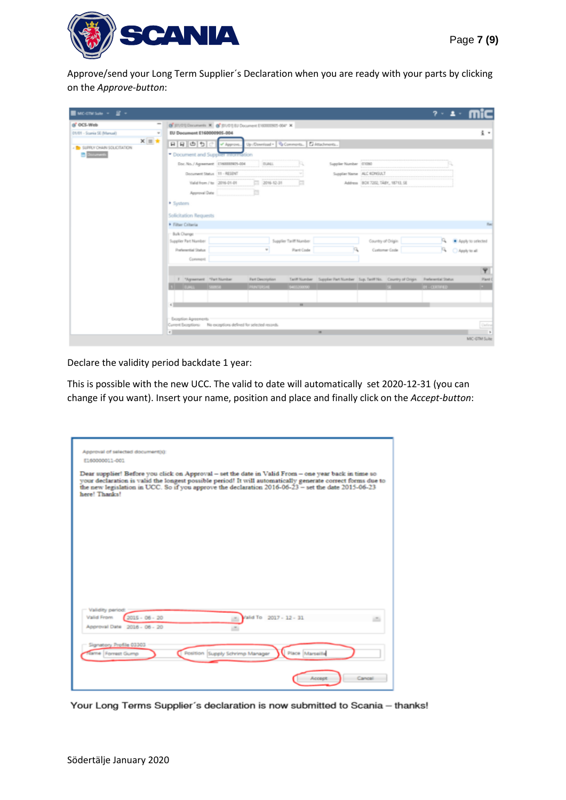

Approve/send your Long Term Supplier´s Declaration when you are ready with your parts by clicking on the *Approve-button*:

| $\blacksquare$ we change $\cdot$ $\blacksquare$ $\cdot$ |                                                                                                                                                                                                                | $7 - 1$                         |
|---------------------------------------------------------|----------------------------------------------------------------------------------------------------------------------------------------------------------------------------------------------------------------|---------------------------------|
| of OCS-Web<br>01/01 - Scarria SE (Marxuel)              | @"J01/01] Documents X @"J01/01] EU Document E160000905-004" X<br>EU Document E160000905-004<br>$\omega$                                                                                                        | $\frac{1}{2}$ .                 |
| - <b>B</b> SUPPLY CHAIN SOLICITATION                    | $x \equiv \star$<br>미묘 비의 이<br>Up /Download . Comments   El Attachments<br>v* Approve.                                                                                                                         |                                 |
| <b>Documents</b>                                        | * Document and Supplier information                                                                                                                                                                            |                                 |
|                                                         | Doc. No. / Agreement   £160003925-004<br><b>TUALL</b><br>Supplier Number 01050                                                                                                                                 |                                 |
|                                                         | Document Status 11 - RESENT<br>Supplier Name ALC KONSULT                                                                                                                                                       |                                 |
|                                                         | Valid from / to 2016-01-01<br>2016-12-31<br>a<br>Address BCK 7202, TABY, 18713, SE                                                                                                                             |                                 |
|                                                         | a<br>Approval Date                                                                                                                                                                                             |                                 |
|                                                         | · System                                                                                                                                                                                                       |                                 |
|                                                         | Solicitation Requests                                                                                                                                                                                          |                                 |
|                                                         | • Filter Criteria                                                                                                                                                                                              | <b>Har</b>                      |
|                                                         | Bulk Change                                                                                                                                                                                                    |                                 |
|                                                         | Supplier Tariff Number<br>Country of Origin<br>Supplier Part Number                                                                                                                                            | a.<br>Apply to selected         |
|                                                         | <b>Preferential Status</b><br><b>Plant Code</b><br>Customer Code                                                                                                                                               | P. O Apply to all               |
|                                                         | Comment                                                                                                                                                                                                        |                                 |
|                                                         |                                                                                                                                                                                                                | $\overline{\mathbf{Y}}$         |
|                                                         | 1 "Agreement "Part Number<br>Tariff Number Supplier Part Number Sup, Tariff No. Country of Origin Preferential Status<br><b>Part Description</b><br>1 EJALL SBBS6<br>PRINTERSHE<br>\$403,000,00<br><b>COLL</b> | Plant:<br><b>O1 - CERTIFIED</b> |
|                                                         |                                                                                                                                                                                                                |                                 |
|                                                         | $\overline{a}$<br>e II                                                                                                                                                                                         |                                 |
|                                                         |                                                                                                                                                                                                                |                                 |
|                                                         | Exception Agreements<br>Current Exceptions: No exceptions defined for selected records.                                                                                                                        | Define                          |
|                                                         | $\epsilon$<br>$\blacksquare$                                                                                                                                                                                   | $\rightarrow$                   |
|                                                         |                                                                                                                                                                                                                | MIC-GTM Suite                   |

Declare the validity period backdate 1 year:

This is possible with the new UCC. The valid to date will automatically set 2020-12-31 (you can change if you want). Insert your name, position and place and finally click on the *Accept-button*:

| Approval of selected document(s):                                                                                                                                                                                                                                                                                                        |
|------------------------------------------------------------------------------------------------------------------------------------------------------------------------------------------------------------------------------------------------------------------------------------------------------------------------------------------|
| E160000011-001                                                                                                                                                                                                                                                                                                                           |
|                                                                                                                                                                                                                                                                                                                                          |
| Dear supplier! Before you click on Approval - set the date in Valid From - one year back in time so<br>your declaration is valid the longest possible period! It will automatically generate correct forms due to<br>the new legislation in UCC. So if you approve the declaration 2016-06-23 - set the date 2015-06-23<br>here! Thanks! |
|                                                                                                                                                                                                                                                                                                                                          |
|                                                                                                                                                                                                                                                                                                                                          |
|                                                                                                                                                                                                                                                                                                                                          |
|                                                                                                                                                                                                                                                                                                                                          |
|                                                                                                                                                                                                                                                                                                                                          |
|                                                                                                                                                                                                                                                                                                                                          |
|                                                                                                                                                                                                                                                                                                                                          |
|                                                                                                                                                                                                                                                                                                                                          |
|                                                                                                                                                                                                                                                                                                                                          |
|                                                                                                                                                                                                                                                                                                                                          |
| Validity period                                                                                                                                                                                                                                                                                                                          |
| $2015 - 06 - 20$<br>Valid From<br>Valid To 2017 - 12 - 31                                                                                                                                                                                                                                                                                |
| Approval Date 2016 - 06 - 20                                                                                                                                                                                                                                                                                                             |
|                                                                                                                                                                                                                                                                                                                                          |
| Signatory Profile 03303<br>Place Marseille                                                                                                                                                                                                                                                                                               |
| Position Supply Schrimp Manager<br>Jame Forrest Gump                                                                                                                                                                                                                                                                                     |
|                                                                                                                                                                                                                                                                                                                                          |
| Cancel<br><b>Accept</b>                                                                                                                                                                                                                                                                                                                  |
|                                                                                                                                                                                                                                                                                                                                          |

Your Long Terms Supplier's declaration is now submitted to Scania - thanks!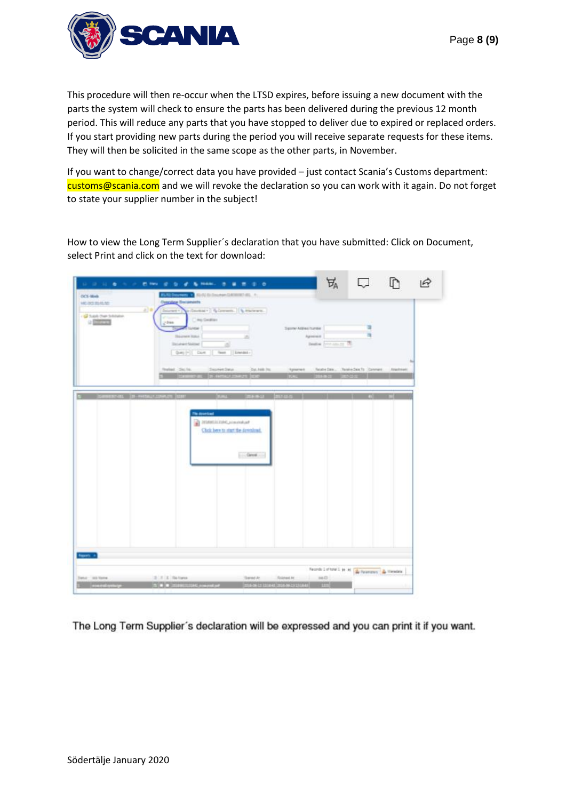

This procedure will then re-occur when the LTSD expires, before issuing a new document with the parts the system will check to ensure the parts has been delivered during the previous 12 month period. This will reduce any parts that you have stopped to deliver due to expired or replaced orders. If you start providing new parts during the period you will receive separate requests for these items. They will then be solicited in the same scope as the other parts, in November.

If you want to change/correct data you have provided – just contact Scania's Customs department: customs@scania.com and we will revoke the declaration so you can work with it again. Do not forget to state your supplier number in the subject!

How to view the Long Term Supplier´s declaration that you have submitted: Click on Document, select Print and click on the text for download:

| OCL-Week<br><b>MC-20120-RUNI</b><br>- O has been been | <b>Overstaw Discusseets</b><br>220<br><b>Source</b> 1 | <b>RESIDENCE &amp; SUNISIPARATEMENTS. A.</b><br>p.Dayman   Q.Denwen.   Q.Phillewin |                           | Ъ                                                                              |      |
|-------------------------------------------------------|-------------------------------------------------------|------------------------------------------------------------------------------------|---------------------------|--------------------------------------------------------------------------------|------|
| o percent                                             | 24m<br><b>Staurante Institut</b>                      | City Getties<br><b>TELEVISION</b><br>n                                             | Tigsmy Address founder    | Agreement                                                                      |      |
|                                                       | Detailed Statisel<br>Guest (* 1) Dave                 | 道<br>Test    Lincoln !-                                                            |                           | Beaton Terrains are Ch.                                                        |      |
|                                                       | Realised - Dec fre.                                   | Desmittling<br><b>CONTRACTOR</b>                                                   | Det. Add . 765            | Apsenet faste Day, Texte DexTs Connect. Attentions<br><b>THE REAL PROPERTY</b> |      |
|                                                       | ST-402 19-RHONDA COMMUN TOUR                          | <b>Think</b>                                                                       | 113.3332<br><b>DOM NO</b> |                                                                                | E 14 |
|                                                       |                                                       | The desertion!<br>2 International Committee<br>Click been to start the devolund.   |                           |                                                                                |      |
|                                                       |                                                       |                                                                                    |                           |                                                                                |      |
|                                                       |                                                       | $-$ Cancel                                                                         |                           |                                                                                |      |
|                                                       |                                                       |                                                                                    |                           |                                                                                |      |
|                                                       |                                                       |                                                                                    |                           |                                                                                |      |
|                                                       |                                                       |                                                                                    |                           |                                                                                |      |
|                                                       |                                                       |                                                                                    |                           |                                                                                |      |
| <b>Service</b>                                        |                                                       |                                                                                    |                           |                                                                                |      |

The Long Term Supplier's declaration will be expressed and you can print it if you want.